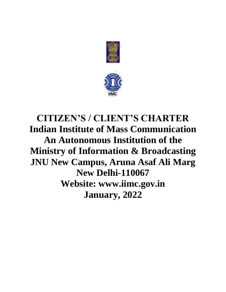



# **CITIZEN'S / CLIENT'S CHARTER Indian Institute of Mass Communication An Autonomous Institution of the Ministry of Information & Broadcasting JNU New Campus, Aruna Asaf Ali Marg New Delhi-110067 Website: www.iimc.gov.in January, 2022**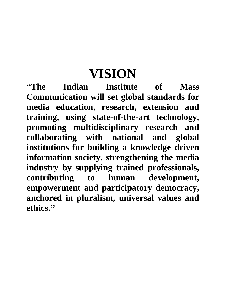# **VISION**

**"The Indian Institute of Mass Communication will set global standards for media education, research, extension and training, using state-of-the-art technology, promoting multidisciplinary research and collaborating with national and global institutions for building a knowledge driven information society, strengthening the media industry by supplying trained professionals, contributing to human development, empowerment and participatory democracy, anchored in pluralism, universal values and ethics."**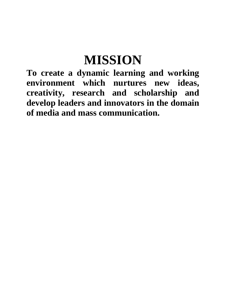# **MISSION**

**To create a dynamic learning and working environment which nurtures new ideas, creativity, research and scholarship and develop leaders and innovators in the domain of media and mass communication.**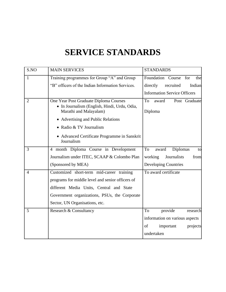# **SERVICE STANDARDS**

| S.NO           | <b>MAIN SERVICES</b>                                                                                             | <b>STANDARDS</b>                        |
|----------------|------------------------------------------------------------------------------------------------------------------|-----------------------------------------|
| 1              | Training programmes for Group "A" and Group                                                                      | Foundation Course<br>for<br>the         |
|                | "B" officers of the Indian Information Services.                                                                 | directly<br>Indian<br>recruited         |
|                |                                                                                                                  | <b>Information Service Officers</b>     |
| $\overline{2}$ | One Year Post Graduate Diploma Courses<br>· In Journalism (English, Hindi, Urdu, Odia,<br>Marathi and Malayalam) | To<br>Post Graduate<br>award<br>Diploma |
|                | • Advertising and Public Relations                                                                               |                                         |
|                | • Radio & TV Journalism                                                                                          |                                         |
|                | • Advanced Certificate Programme in Sanskrit<br>Journalism                                                       |                                         |
| 3              | 4 month Diploma Course in Development                                                                            | Diplomas<br>To<br>award<br>to           |
|                | Journalism under ITEC, SCAAP & Colombo Plan                                                                      | working<br>Journalists<br>from          |
|                | (Sponsored by MEA)                                                                                               | <b>Developing Countries</b>             |
| $\overline{4}$ | Customized short-term mid-career training                                                                        | To award certificate                    |
|                | programs for middle level and senior officers of                                                                 |                                         |
|                | different Media Units, Central and State                                                                         |                                         |
|                | Government organizations, PSUs, the Corporate                                                                    |                                         |
|                | Sector, UN Organisations, etc.                                                                                   |                                         |
| 5              | Research & Consultancy                                                                                           | To<br>provide<br>research               |
|                |                                                                                                                  | information on various aspects          |
|                |                                                                                                                  | οf<br>important<br>projects             |
|                |                                                                                                                  | undertaken                              |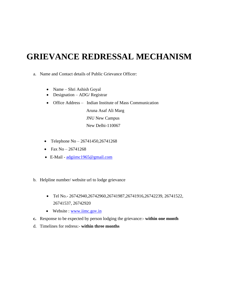### **GRIEVANCE REDRESSAL MECHANISM**

- a. Name and Contact details of Public Grievance Officer:
	- Name Shri Ashish Goyal
	- Designation ADG/ Registrar
	- Office Address Indian Institute of Mass Communication

Aruna Asaf Ali Marg JNU New Campus New Delhi-110067

- Telephone No  $26741450, 26741268$
- Fax No 26741268
- E-Mail [adgiimc1965@gmail.com](mailto:adgiimc1965@gmail.com)
- b. Helpline number/ website url to lodge grievance
	- Tel No.- 26742940,26742960,26741987,26741916,26742239, 26741522, 26741537, 26742920
	- Website : [www.iimc.gov.in](http://www.iimc.gov.in/)
- **c.** Response to be expected by person lodging the grievance:- **within one month**
- d. Timelines for redress:- **within three months**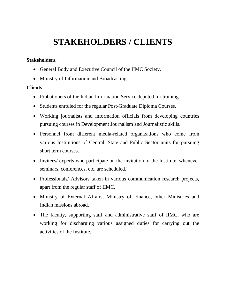## **STAKEHOLDERS / CLIENTS**

#### **Stakeholders.**

- General Body and Executive Council of the IIMC Society.
- Ministry of Information and Broadcasting.

#### **Clients**

- Probationers of the Indian Information Service deputed for training
- Students enrolled for the regular Post-Graduate Diploma Courses.
- Working journalists and information officials from developing countries pursuing courses in Development Journalism and Journalistic skills.
- Personnel from different media-related organizations who come from various Institutions of Central, State and Public Sector units for pursuing short term courses.
- Invitees/ experts who participate on the invitation of the Institute, whenever seminars, conferences, etc. are scheduled.
- Professionals/ Advisors taken in various communication research projects, apart from the regular staff of IIMC.
- Ministry of External Affairs, Ministry of Finance, other Ministries and Indian missions abroad.
- The faculty, supporting staff and administrative staff of IIMC, who are working for discharging various assigned duties for carrying out the activities of the Institute.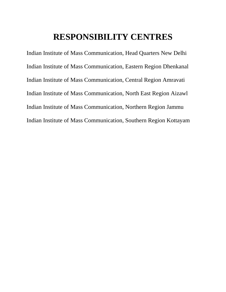### **RESPONSIBILITY CENTRES**

Indian Institute of Mass Communication, Head Quarters New Delhi Indian Institute of Mass Communication, Eastern Region Dhenkanal Indian Institute of Mass Communication, Central Region Amravati Indian Institute of Mass Communication, North East Region Aizawl Indian Institute of Mass Communication, Northern Region Jammu Indian Institute of Mass Communication, Southern Region Kottayam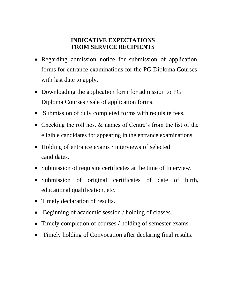#### **INDICATIVE EXPECTATIONS FROM SERVICE RECIPIENTS**

- Regarding admission notice for submission of application forms for entrance examinations for the PG Diploma Courses with last date to apply.
- Downloading the application form for admission to PG Diploma Courses / sale of application forms.
- Submission of duly completed forms with requisite fees.
- Checking the roll nos. & names of Centre's from the list of the eligible candidates for appearing in the entrance examinations.
- Holding of entrance exams / interviews of selected candidates.
- Submission of requisite certificates at the time of Interview.
- Submission of original certificates of date of birth, educational qualification, etc.
- Timely declaration of results.
- Beginning of academic session / holding of classes.
- Timely completion of courses / holding of semester exams.
- Timely holding of Convocation after declaring final results.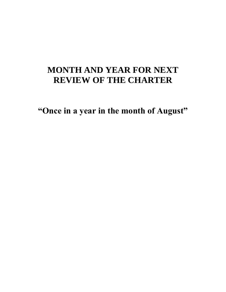## **MONTH AND YEAR FOR NEXT REVIEW OF THE CHARTER**

**"Once in a year in the month of August"**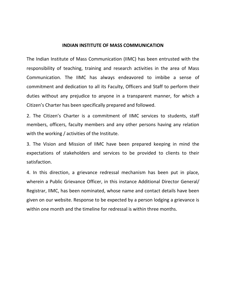#### **INDIAN INSTITUTE OF MASS COMMUNICATION**

The Indian Institute of Mass Communication (IIMC) has been entrusted with the responsibility of teaching, training and research activities in the area of Mass Communication. The IIMC has always endeavored to imbibe a sense of commitment and dedication to all its Faculty, Officers and Staff to perform their duties without any prejudice to anyone in a transparent manner, for which a Citizen's Charter has been specifically prepared and followed.

2. The Citizen's Charter is a commitment of IIMC services to students, staff members, officers, faculty members and any other persons having any relation with the working / activities of the Institute.

3. The Vision and Mission of IIMC have been prepared keeping in mind the expectations of stakeholders and services to be provided to clients to their satisfaction.

4. In this direction, a grievance redressal mechanism has been put in place, wherein a Public Grievance Officer, in this instance Additional Director General/ Registrar, IIMC, has been nominated, whose name and contact details have been given on our website. Response to be expected by a person lodging a grievance is within one month and the timeline for redressal is within three months.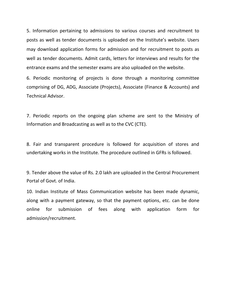5. Information pertaining to admissions to various courses and recruitment to posts as well as tender documents is uploaded on the Institute's website. Users may download application forms for admission and for recruitment to posts as well as tender documents. Admit cards, letters for interviews and results for the entrance exams and the semester exams are also uploaded on the website.

6. Periodic monitoring of projects is done through a monitoring committee comprising of DG, ADG, Associate (Projects), Associate (Finance & Accounts) and Technical Advisor.

7. Periodic reports on the ongoing plan scheme are sent to the Ministry of Information and Broadcasting as well as to the CVC (CTE).

8. Fair and transparent procedure is followed for acquisition of stores and undertaking works in the Institute. The procedure outlined in GFRs is followed.

9. Tender above the value of Rs. 2.0 lakh are uploaded in the Central Procurement Portal of Govt. of India.

10. Indian Institute of Mass Communication website has been made dynamic, along with a payment gateway, so that the payment options, etc. can be done online for submission of fees along with application form for admission/recruitment.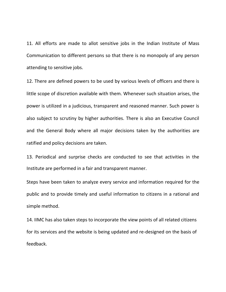11. All efforts are made to allot sensitive jobs in the Indian Institute of Mass Communication to different persons so that there is no monopoly of any person attending to sensitive jobs.

12. There are defined powers to be used by various levels of officers and there is little scope of discretion available with them. Whenever such situation arises, the power is utilized in a judicious, transparent and reasoned manner. Such power is also subject to scrutiny by higher authorities. There is also an Executive Council and the General Body where all major decisions taken by the authorities are ratified and policy decisions are taken.

13. Periodical and surprise checks are conducted to see that activities in the Institute are performed in a fair and transparent manner.

Steps have been taken to analyze every service and information required for the public and to provide timely and useful information to citizens in a rational and simple method.

14. IIMC has also taken steps to incorporate the view points of all related citizens for its services and the website is being updated and re-designed on the basis of feedback.